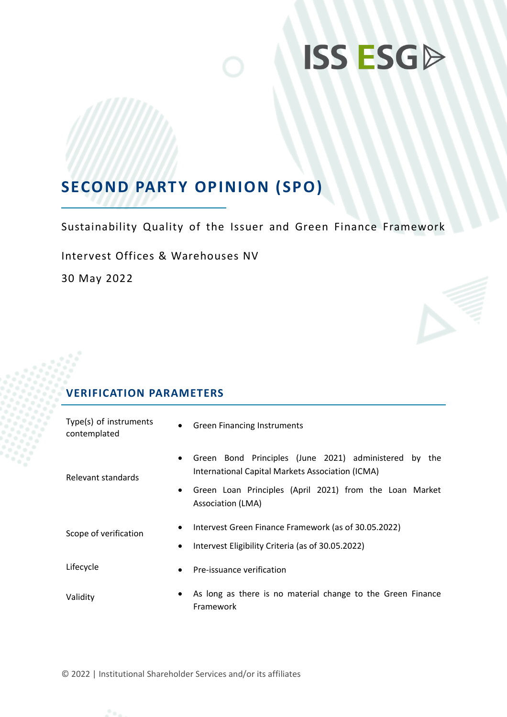# **ISS ESGP**

## **SECOND PARTY OPINION (SPO)**

Sustainability Quality of the Issuer and Green Finance Framework

Intervest Offices & Warehouses NV

30 May 2022

## **VERIFICATION PARAMETERS**

| Type(s) of instruments<br>contemplated | <b>Green Financing Instruments</b>                                                                        |  |  |
|----------------------------------------|-----------------------------------------------------------------------------------------------------------|--|--|
| $\bullet$<br>Relevant standards        | Green Bond Principles (June 2021) administered by the<br>International Capital Markets Association (ICMA) |  |  |
| $\bullet$                              | Green Loan Principles (April 2021) from the Loan Market<br>Association (LMA)                              |  |  |
| $\bullet$<br>Scope of verification     | Intervest Green Finance Framework (as of 30.05.2022)                                                      |  |  |
| $\bullet$                              | Intervest Eligibility Criteria (as of 30.05.2022)                                                         |  |  |
| Lifecycle<br>$\bullet$                 | Pre-issuance verification                                                                                 |  |  |
| $\bullet$<br>Validity                  | As long as there is no material change to the Green Finance<br>Framework                                  |  |  |

© 2022 | Institutional Shareholder Services and/or its affiliates

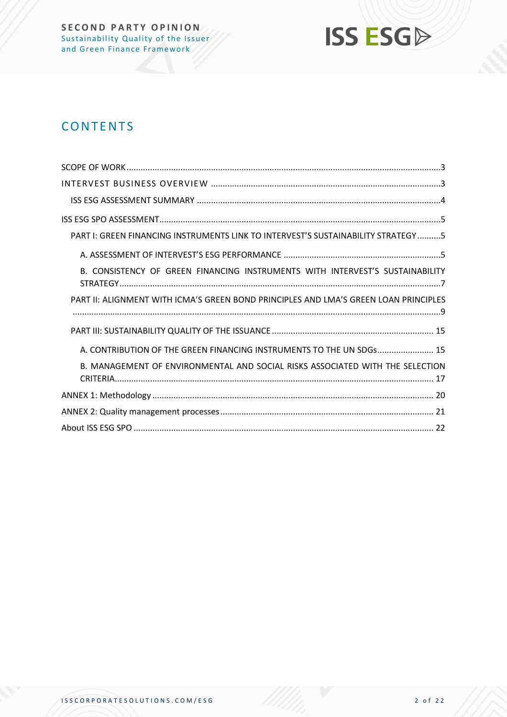

## **CONTENTS**

| PART I: GREEN FINANCING INSTRUMENTS LINK TO INTERVEST'S SUSTAINABILITY STRATEGY5     |
|--------------------------------------------------------------------------------------|
|                                                                                      |
| B. CONSISTENCY OF GREEN FINANCING INSTRUMENTS WITH INTERVEST'S SUSTAINABILITY        |
| PART II: ALIGNMENT WITH ICMA'S GREEN BOND PRINCIPLES AND LMA'S GREEN LOAN PRINCIPLES |
|                                                                                      |
| A. CONTRIBUTION OF THE GREEN FINANCING INSTRUMENTS TO THE UN SDGs 15                 |
| B. MANAGEMENT OF ENVIRONMENTAL AND SOCIAL RISKS ASSOCIATED WITH THE SELECTION        |
|                                                                                      |
|                                                                                      |
|                                                                                      |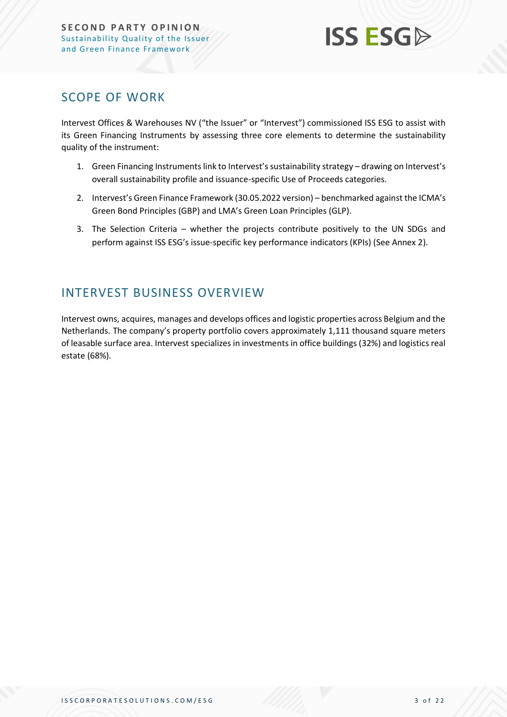

### <span id="page-2-0"></span>SCOPE OF WORK

Intervest Offices & Warehouses NV ("the Issuer" or "Intervest") commissioned ISS ESG to assist with its Green Financing Instruments by assessing three core elements to determine the sustainability quality of the instrument:

- 1. Green Financing Instruments link to Intervest's sustainability strategy drawing on Intervest's overall sustainability profile and issuance-specific Use of Proceeds categories.
- 2. Intervest's Green Finance Framework (30.05.2022 version) benchmarked against the ICMA's Green Bond Principles (GBP) and LMA's Green Loan Principles (GLP).
- 3. The Selection Criteria whether the projects contribute positively to the UN SDGs and perform against ISS ESG's issue-specific key performance indicators (KPIs) (See Annex 2).

## <span id="page-2-1"></span>INTERVEST BUSINESS OVERVIEW

Intervest owns, acquires, manages and develops offices and logistic properties across Belgium and the Netherlands. The company's property portfolio covers approximately 1,111 thousand square meters of leasable surface area. Intervest specializes in investments in office buildings (32%) and logistics real estate (68%).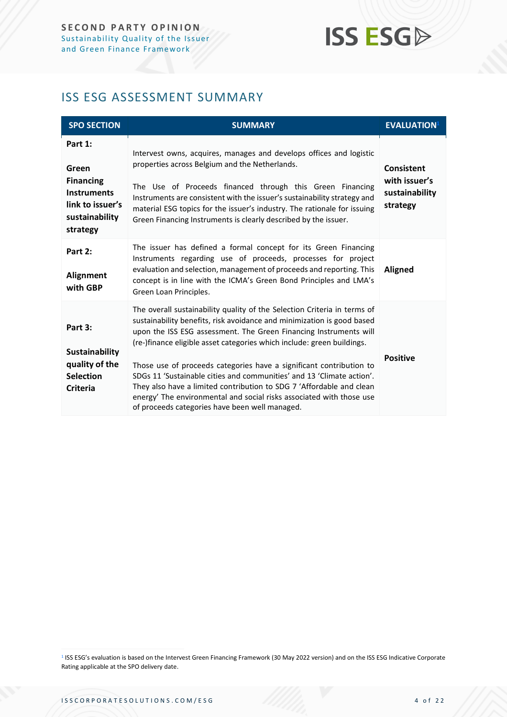## **ISS ESG**

## <span id="page-3-0"></span>ISS ESG ASSESSMENT SUMMARY

| <b>SPO SECTION</b>                                                                                           | <b>SUMMARY</b>                                                                                                                                                                                                                                                                                                                                                                                                                                                                                                                                                                                                                                      | <b>EVALUATION</b> <sup>1</sup>                                   |
|--------------------------------------------------------------------------------------------------------------|-----------------------------------------------------------------------------------------------------------------------------------------------------------------------------------------------------------------------------------------------------------------------------------------------------------------------------------------------------------------------------------------------------------------------------------------------------------------------------------------------------------------------------------------------------------------------------------------------------------------------------------------------------|------------------------------------------------------------------|
| Part 1:<br>Green<br><b>Financing</b><br><b>Instruments</b><br>link to issuer's<br>sustainability<br>strategy | Intervest owns, acquires, manages and develops offices and logistic<br>properties across Belgium and the Netherlands.<br>The Use of Proceeds financed through this Green Financing<br>Instruments are consistent with the issuer's sustainability strategy and<br>material ESG topics for the issuer's industry. The rationale for issuing<br>Green Financing Instruments is clearly described by the issuer.                                                                                                                                                                                                                                       | <b>Consistent</b><br>with issuer's<br>sustainability<br>strategy |
| Part 2:<br>Alignment<br>with GBP                                                                             | The issuer has defined a formal concept for its Green Financing<br>Instruments regarding use of proceeds, processes for project<br>evaluation and selection, management of proceeds and reporting. This<br>concept is in line with the ICMA's Green Bond Principles and LMA's<br>Green Loan Principles.                                                                                                                                                                                                                                                                                                                                             | <b>Aligned</b>                                                   |
| Part 3:<br><b>Sustainability</b><br>quality of the<br><b>Selection</b><br><b>Criteria</b>                    | The overall sustainability quality of the Selection Criteria in terms of<br>sustainability benefits, risk avoidance and minimization is good based<br>upon the ISS ESG assessment. The Green Financing Instruments will<br>(re-)finance eligible asset categories which include: green buildings.<br>Those use of proceeds categories have a significant contribution to<br>SDGs 11 'Sustainable cities and communities' and 13 'Climate action'.<br>They also have a limited contribution to SDG 7 'Affordable and clean<br>energy' The environmental and social risks associated with those use<br>of proceeds categories have been well managed. | <b>Positive</b>                                                  |

<sup>&</sup>lt;sup>1</sup> ISS ESG's evaluation is based on the Intervest Green Financing Framework (30 May 2022 version) and on the ISS ESG Indicative Corporate Rating applicable at the SPO delivery date.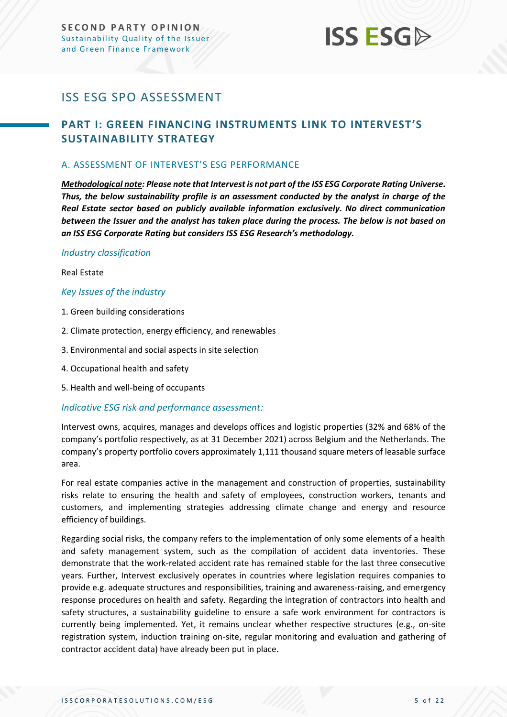## **ISS ESG**

## <span id="page-4-0"></span>ISS ESG SPO ASSESSMENT

### <span id="page-4-1"></span>**PART I: GREEN FINANCING INSTRUMENTS LINK TO INTERVEST'S SUSTAINABILITY STRATEGY**

#### <span id="page-4-2"></span>A. ASSESSMENT OF INTERVEST'S ESG PERFORMANCE

*Methodological note: Please note that Intervest is not part of the ISS ESG Corporate Rating Universe. Thus, the below sustainability profile is an assessment conducted by the analyst in charge of the Real Estate sector based on publicly available information exclusively. No direct communication between the Issuer and the analyst has taken place during the process. The below is not based on an ISS ESG Corporate Rating but considers ISS ESG Research's methodology.*

#### *Industry classification*

#### Real Estate

#### *Key Issues of the industry*

- 1. Green building considerations
- 2. Climate protection, energy efficiency, and renewables
- 3. Environmental and social aspects in site selection
- 4. Occupational health and safety
- 5. Health and well-being of occupants

#### *Indicative ESG risk and performance assessment:*

Intervest owns, acquires, manages and develops offices and logistic properties (32% and 68% of the company's portfolio respectively, as at 31 December 2021) across Belgium and the Netherlands. The company's property portfolio covers approximately 1,111 thousand square meters of leasable surface area.

For real estate companies active in the management and construction of properties, sustainability risks relate to ensuring the health and safety of employees, construction workers, tenants and customers, and implementing strategies addressing climate change and energy and resource efficiency of buildings.

Regarding social risks, the company refers to the implementation of only some elements of a health and safety management system, such as the compilation of accident data inventories. These demonstrate that the work-related accident rate has remained stable for the last three consecutive years. Further, Intervest exclusively operates in countries where legislation requires companies to provide e.g. adequate structures and responsibilities, training and awareness-raising, and emergency response procedures on health and safety. Regarding the integration of contractors into health and safety structures, a sustainability guideline to ensure a safe work environment for contractors is currently being implemented. Yet, it remains unclear whether respective structures (e.g., on-site registration system, induction training on-site, regular monitoring and evaluation and gathering of contractor accident data) have already been put in place.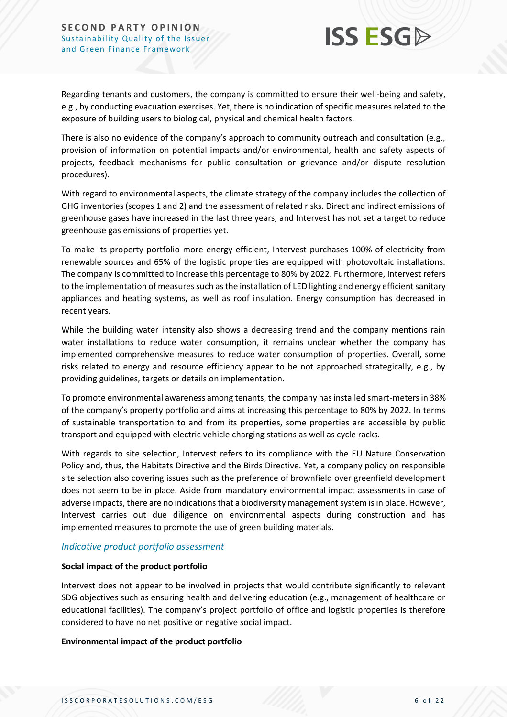

Regarding tenants and customers, the company is committed to ensure their well-being and safety, e.g., by conducting evacuation exercises. Yet, there is no indication of specific measures related to the exposure of building users to biological, physical and chemical health factors.

There is also no evidence of the company's approach to community outreach and consultation (e.g., provision of information on potential impacts and/or environmental, health and safety aspects of projects, feedback mechanisms for public consultation or grievance and/or dispute resolution procedures).

With regard to environmental aspects, the climate strategy of the company includes the collection of GHG inventories (scopes 1 and 2) and the assessment of related risks. Direct and indirect emissions of greenhouse gases have increased in the last three years, and Intervest has not set a target to reduce greenhouse gas emissions of properties yet.

To make its property portfolio more energy efficient, Intervest purchases 100% of electricity from renewable sources and 65% of the logistic properties are equipped with photovoltaic installations. The company is committed to increase this percentage to 80% by 2022. Furthermore, Intervest refers to the implementation of measures such asthe installation of LED lighting and energy efficient sanitary appliances and heating systems, as well as roof insulation. Energy consumption has decreased in recent years.

While the building water intensity also shows a decreasing trend and the company mentions rain water installations to reduce water consumption, it remains unclear whether the company has implemented comprehensive measures to reduce water consumption of properties. Overall, some risks related to energy and resource efficiency appear to be not approached strategically, e.g., by providing guidelines, targets or details on implementation.

To promote environmental awareness among tenants, the company has installed smart-metersin 38% of the company's property portfolio and aims at increasing this percentage to 80% by 2022. In terms of sustainable transportation to and from its properties, some properties are accessible by public transport and equipped with electric vehicle charging stations as well as cycle racks.

With regards to site selection, Intervest refers to its compliance with the EU Nature Conservation Policy and, thus, the Habitats Directive and the Birds Directive. Yet, a company policy on responsible site selection also covering issues such as the preference of brownfield over greenfield development does not seem to be in place. Aside from mandatory environmental impact assessments in case of adverse impacts, there are no indications that a biodiversity management system is in place. However, Intervest carries out due diligence on environmental aspects during construction and has implemented measures to promote the use of green building materials.

#### *Indicative product portfolio assessment*

#### **Social impact of the product portfolio**

Intervest does not appear to be involved in projects that would contribute significantly to relevant SDG objectives such as ensuring health and delivering education (e.g., management of healthcare or educational facilities). The company's project portfolio of office and logistic properties is therefore considered to have no net positive or negative social impact.

#### **Environmental impact of the product portfolio**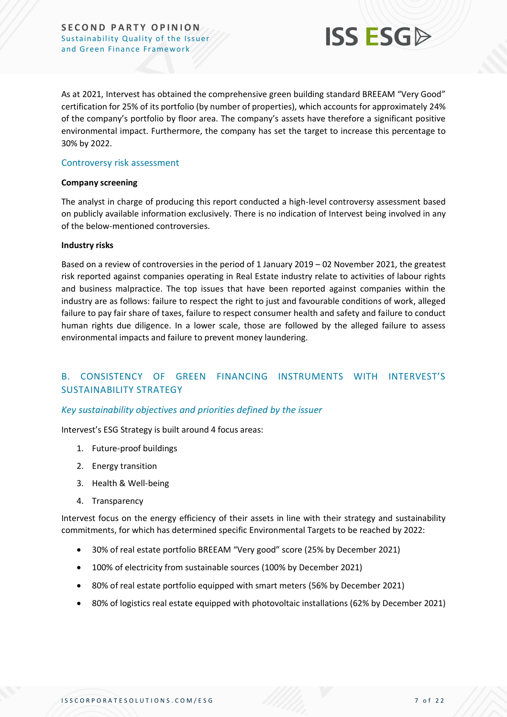

As at 2021, Intervest has obtained the comprehensive green building standard BREEAM "Very Good" certification for 25% of its portfolio (by number of properties), which accounts for approximately 24% of the company's portfolio by floor area. The company's assets have therefore a significant positive environmental impact. Furthermore, the company has set the target to increase this percentage to 30% by 2022.

#### Controversy risk assessment

#### **Company screening**

The analyst in charge of producing this report conducted a high-level controversy assessment based on publicly available information exclusively. There is no indication of Intervest being involved in any of the below-mentioned controversies.

#### **Industry risks**

Based on a review of controversies in the period of 1 January 2019 – 02 November 2021, the greatest risk reported against companies operating in Real Estate industry relate to activities of labour rights and business malpractice. The top issues that have been reported against companies within the industry are as follows: failure to respect the right to just and favourable conditions of work, alleged failure to pay fair share of taxes, failure to respect consumer health and safety and failure to conduct human rights due diligence. In a lower scale, those are followed by the alleged failure to assess environmental impacts and failure to prevent money laundering.

#### <span id="page-6-0"></span>B. CONSISTENCY OF GREEN FINANCING INSTRUMENTS WITH INTERVEST'S SUSTAINABILITY STRATEGY

#### *Key sustainability objectives and priorities defined by the issuer*

Intervest's ESG Strategy is built around 4 focus areas:

- 1. Future-proof buildings
- 2. Energy transition
- 3. Health & Well-being
- 4. Transparency

Intervest focus on the energy efficiency of their assets in line with their strategy and sustainability commitments, for which has determined specific Environmental Targets to be reached by 2022:

- 30% of real estate portfolio BREEAM "Very good" score (25% by December 2021)
- 100% of electricity from sustainable sources (100% by December 2021)
- 80% of real estate portfolio equipped with smart meters (56% by December 2021)
- 80% of logistics real estate equipped with photovoltaic installations (62% by December 2021)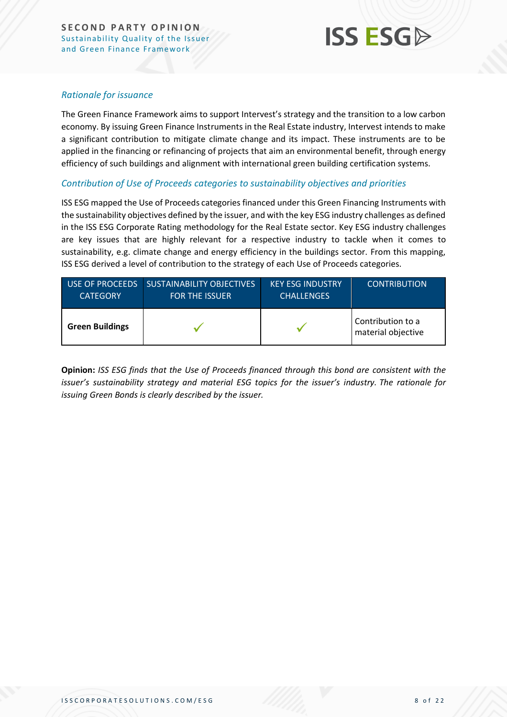

#### *Rationale for issuance*

The Green Finance Framework aims to support Intervest's strategy and the transition to a low carbon economy. By issuing Green Finance Instruments in the Real Estate industry, Intervest intends to make a significant contribution to mitigate climate change and its impact. These instruments are to be applied in the financing or refinancing of projects that aim an environmental benefit, through energy efficiency of such buildings and alignment with international green building certification systems.

#### *Contribution of Use of Proceeds categories to sustainability objectives and priorities*

ISS ESG mapped the Use of Proceeds categories financed under this Green Financing Instruments with the sustainability objectives defined by the issuer, and with the key ESG industry challenges as defined in the ISS ESG Corporate Rating methodology for the Real Estate sector. Key ESG industry challenges are key issues that are highly relevant for a respective industry to tackle when it comes to sustainability, e.g. climate change and energy efficiency in the buildings sector. From this mapping, ISS ESG derived a level of contribution to the strategy of each Use of Proceeds categories.

| USE OF PROCEEDS        | <b>SUSTAINABILITY OBJECTIVES</b> | <b>KEY ESG INDUSTRY</b> | <b>CONTRIBUTION</b>                     |
|------------------------|----------------------------------|-------------------------|-----------------------------------------|
| <b>CATEGORY</b>        | <b>FOR THE ISSUER</b>            | <b>CHALLENGES</b>       |                                         |
| <b>Green Buildings</b> |                                  |                         | Contribution to a<br>material objective |

**Opinion:** *ISS ESG finds that the Use of Proceeds financed through this bond are consistent with the issuer's sustainability strategy and material ESG topics for the issuer's industry. The rationale for issuing Green Bonds is clearly described by the issuer.*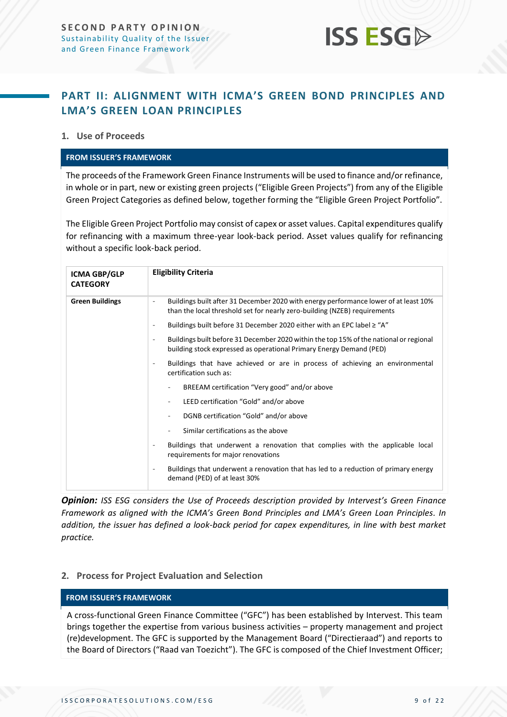## **ISS ESG**

### <span id="page-8-0"></span>**PART II: ALIGNMENT WITH ICMA'S GREEN BOND PRINCIPLES AND LMA'S GREEN LOAN PRINCIPLES**

#### **1. Use of Proceeds**

#### **FROM ISSUER'S FRAMEWORK**

The proceeds of the Framework Green Finance Instruments will be used to finance and/or refinance, in whole or in part, new or existing green projects ("Eligible Green Projects") from any of the Eligible Green Project Categories as defined below, together forming the "Eligible Green Project Portfolio".

The Eligible Green Project Portfolio may consist of capex or asset values. Capital expenditures qualify for refinancing with a maximum three-year look-back period. Asset values qualify for refinancing without a specific look-back period.

| <b>ICMA GBP/GLP</b><br><b>CATEGORY</b> | <b>Eligibility Criteria</b>                                                                                                                                                               |  |  |  |  |
|----------------------------------------|-------------------------------------------------------------------------------------------------------------------------------------------------------------------------------------------|--|--|--|--|
| <b>Green Buildings</b>                 | Buildings built after 31 December 2020 with energy performance lower of at least 10%<br>٠<br>than the local threshold set for nearly zero-building (NZEB) requirements                    |  |  |  |  |
|                                        | Buildings built before 31 December 2020 either with an EPC label $\geq$ "A"<br>$\overline{\phantom{a}}$                                                                                   |  |  |  |  |
|                                        | Buildings built before 31 December 2020 within the top 15% of the national or regional<br>$\overline{\phantom{a}}$<br>building stock expressed as operational Primary Energy Demand (PED) |  |  |  |  |
|                                        | Buildings that have achieved or are in process of achieving an environmental<br>$\overline{\phantom{a}}$<br>certification such as:                                                        |  |  |  |  |
|                                        | BREEAM certification "Very good" and/or above                                                                                                                                             |  |  |  |  |
|                                        | LEED certification "Gold" and/or above                                                                                                                                                    |  |  |  |  |
|                                        | DGNB certification "Gold" and/or above                                                                                                                                                    |  |  |  |  |
|                                        | Similar certifications as the above                                                                                                                                                       |  |  |  |  |
|                                        | Buildings that underwent a renovation that complies with the applicable local<br>$\overline{\phantom{a}}$<br>requirements for major renovations                                           |  |  |  |  |
|                                        | Buildings that underwent a renovation that has led to a reduction of primary energy<br>$\overline{\phantom{a}}$<br>demand (PED) of at least 30%                                           |  |  |  |  |

*Opinion: ISS ESG considers the Use of Proceeds description provided by Intervest's Green Finance Framework as aligned with the ICMA's Green Bond Principles and LMA's Green Loan Principles. In addition, the issuer has defined a look-back period for capex expenditures, in line with best market practice.*

#### **2. Process for Project Evaluation and Selection**

#### **FROM ISSUER'S FRAMEWORK**

A cross-functional Green Finance Committee ("GFC") has been established by Intervest. This team brings together the expertise from various business activities – property management and project (re)development. The GFC is supported by the Management Board ("Directieraad") and reports to the Board of Directors ("Raad van Toezicht"). The GFC is composed of the Chief Investment Officer;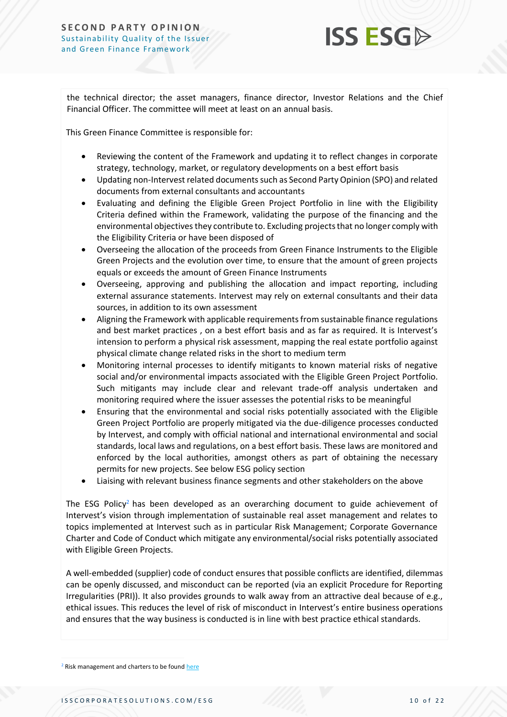

the technical director; the asset managers, finance director, Investor Relations and the Chief Financial Officer. The committee will meet at least on an annual basis.

This Green Finance Committee is responsible for:

- Reviewing the content of the Framework and updating it to reflect changes in corporate strategy, technology, market, or regulatory developments on a best effort basis
- Updating non-Intervest related documents such as Second Party Opinion (SPO) and related documents from external consultants and accountants
- Evaluating and defining the Eligible Green Project Portfolio in line with the Eligibility Criteria defined within the Framework, validating the purpose of the financing and the environmental objectives they contribute to. Excluding projects that no longer comply with the Eligibility Criteria or have been disposed of
- Overseeing the allocation of the proceeds from Green Finance Instruments to the Eligible Green Projects and the evolution over time, to ensure that the amount of green projects equals or exceeds the amount of Green Finance Instruments
- Overseeing, approving and publishing the allocation and impact reporting, including external assurance statements. Intervest may rely on external consultants and their data sources, in addition to its own assessment
- Aligning the Framework with applicable requirements from sustainable finance regulations and best market practices , on a best effort basis and as far as required. It is Intervest's intension to perform a physical risk assessment, mapping the real estate portfolio against physical climate change related risks in the short to medium term
- Monitoring internal processes to identify mitigants to known material risks of negative social and/or environmental impacts associated with the Eligible Green Project Portfolio. Such mitigants may include clear and relevant trade-off analysis undertaken and monitoring required where the issuer assesses the potential risks to be meaningful
- Ensuring that the environmental and social risks potentially associated with the Eligible Green Project Portfolio are properly mitigated via the due-diligence processes conducted by Intervest, and comply with official national and international environmental and social standards, local laws and regulations, on a best effort basis. These laws are monitored and enforced by the local authorities, amongst others as part of obtaining the necessary permits for new projects. See below ESG policy section
- Liaising with relevant business finance segments and other stakeholders on the above

The ESG Policy<sup>2</sup> has been developed as an overarching document to guide achievement of Intervest's vision through implementation of sustainable real asset management and relates to topics implemented at Intervest such as in particular Risk Management; Corporate Governance Charter and Code of Conduct which mitigate any environmental/social risks potentially associated with Eligible Green Projects.

A well-embedded (supplier) code of conduct ensures that possible conflicts are identified, dilemmas can be openly discussed, and misconduct can be reported (via an explicit Procedure for Reporting Irregularities (PRI)). It also provides grounds to walk away from an attractive deal because of e.g., ethical issues. This reduces the level of risk of misconduct in Intervest's entire business operations and ensures that the way business is conducted is in line with best practice ethical standards.

<sup>2</sup> Risk management and charters to be foun[d here](https://www.intervest.be/en/risk-management-and-charters)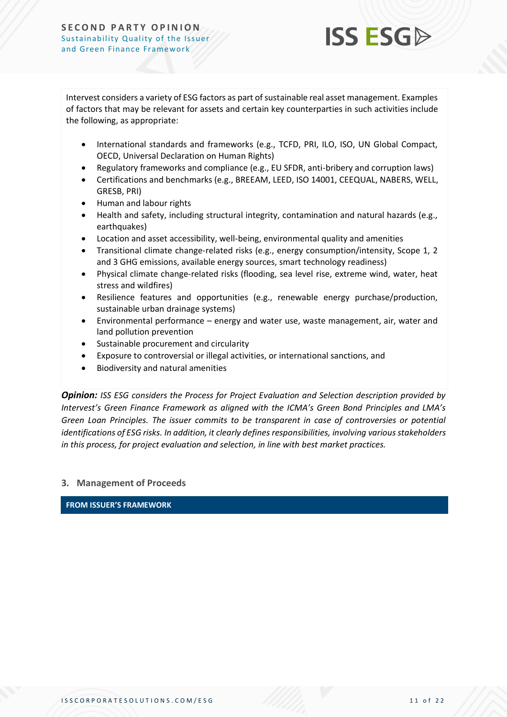

Intervest considers a variety of ESG factors as part of sustainable real asset management. Examples of factors that may be relevant for assets and certain key counterparties in such activities include the following, as appropriate:

- International standards and frameworks (e.g., TCFD, PRI, ILO, ISO, UN Global Compact, OECD, Universal Declaration on Human Rights)
- Regulatory frameworks and compliance (e.g., EU SFDR, anti-bribery and corruption laws)
- Certifications and benchmarks (e.g., BREEAM, LEED, ISO 14001, CEEQUAL, NABERS, WELL, GRESB, PRI)
- Human and labour rights
- Health and safety, including structural integrity, contamination and natural hazards (e.g., earthquakes)
- Location and asset accessibility, well-being, environmental quality and amenities
- Transitional climate change-related risks (e.g., energy consumption/intensity, Scope 1, 2 and 3 GHG emissions, available energy sources, smart technology readiness)
- Physical climate change-related risks (flooding, sea level rise, extreme wind, water, heat stress and wildfires)
- Resilience features and opportunities (e.g., renewable energy purchase/production, sustainable urban drainage systems)
- Environmental performance energy and water use, waste management, air, water and land pollution prevention
- Sustainable procurement and circularity
- Exposure to controversial or illegal activities, or international sanctions, and
- Biodiversity and natural amenities

*Opinion: ISS ESG considers the Process for Project Evaluation and Selection description provided by Intervest's Green Finance Framework as aligned with the ICMA's Green Bond Principles and LMA's Green Loan Principles. The issuer commits to be transparent in case of controversies or potential identifications of ESG risks. In addition, it clearly defines responsibilities, involving various stakeholders in this process, for project evaluation and selection, in line with best market practices.*

#### **3. Management of Proceeds**

**FROM ISSUER'S FRAMEWORK**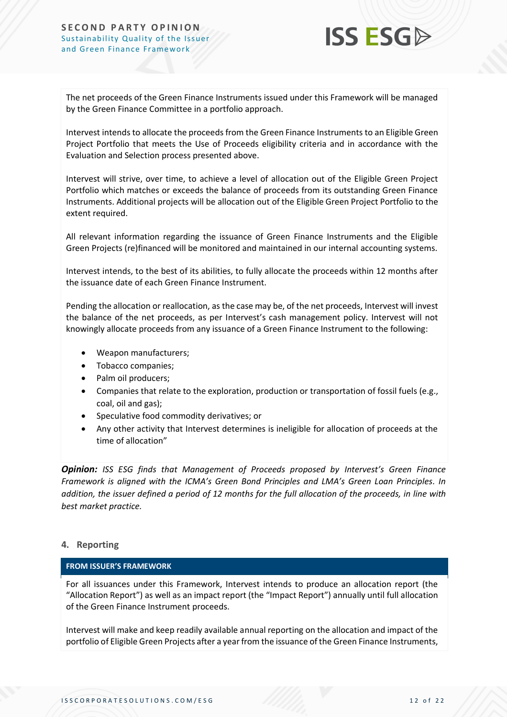

The net proceeds of the Green Finance Instruments issued under this Framework will be managed by the Green Finance Committee in a portfolio approach.

Intervest intends to allocate the proceeds from the Green Finance Instruments to an Eligible Green Project Portfolio that meets the Use of Proceeds eligibility criteria and in accordance with the Evaluation and Selection process presented above.

Intervest will strive, over time, to achieve a level of allocation out of the Eligible Green Project Portfolio which matches or exceeds the balance of proceeds from its outstanding Green Finance Instruments. Additional projects will be allocation out of the Eligible Green Project Portfolio to the extent required.

All relevant information regarding the issuance of Green Finance Instruments and the Eligible Green Projects (re)financed will be monitored and maintained in our internal accounting systems.

Intervest intends, to the best of its abilities, to fully allocate the proceeds within 12 months after the issuance date of each Green Finance Instrument.

Pending the allocation or reallocation, as the case may be, of the net proceeds, Intervest will invest the balance of the net proceeds, as per Intervest's cash management policy. Intervest will not knowingly allocate proceeds from any issuance of a Green Finance Instrument to the following:

- Weapon manufacturers;
- Tobacco companies;
- Palm oil producers;
- Companies that relate to the exploration, production or transportation of fossil fuels (e.g., coal, oil and gas);
- Speculative food commodity derivatives; or
- Any other activity that Intervest determines is ineligible for allocation of proceeds at the time of allocation"

*Opinion: ISS ESG finds that Management of Proceeds proposed by Intervest's Green Finance Framework is aligned with the ICMA's Green Bond Principles and LMA's Green Loan Principles. In addition, the issuer defined a period of 12 months for the full allocation of the proceeds, in line with best market practice.*

#### **4. Reporting**

#### **FROM ISSUER'S FRAMEWORK**

For all issuances under this Framework, Intervest intends to produce an allocation report (the "Allocation Report") as well as an impact report (the "Impact Report") annually until full allocation of the Green Finance Instrument proceeds.

Intervest will make and keep readily available annual reporting on the allocation and impact of the portfolio of Eligible Green Projects after a year from the issuance of the Green Finance Instruments,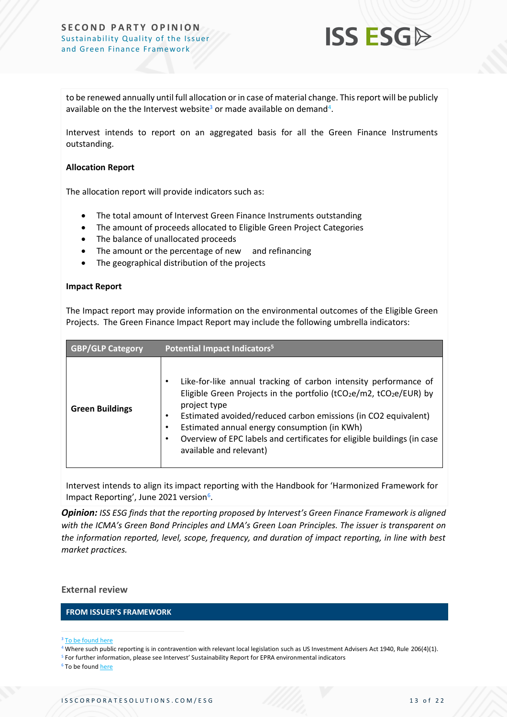

to be renewed annually until full allocation or in case of material change. This report will be publicly available on the the Intervest website<sup>3</sup> or made available on demand<sup>4</sup>.

Intervest intends to report on an aggregated basis for all the Green Finance Instruments outstanding.

#### **Allocation Report**

The allocation report will provide indicators such as:

- The total amount of Intervest Green Finance Instruments outstanding
- The amount of proceeds allocated to Eligible Green Project Categories
- The balance of unallocated proceeds
- The amount or the percentage of new and refinancing
- The geographical distribution of the projects

#### **Impact Report**

The Impact report may provide information on the environmental outcomes of the Eligible Green Projects. The Green Finance Impact Report may include the following umbrella indicators:

| <b>GBP/GLP Category</b> | Potential Impact Indicators <sup>5</sup>                                                                                                                                                                                                                                                                                                                                                                   |  |
|-------------------------|------------------------------------------------------------------------------------------------------------------------------------------------------------------------------------------------------------------------------------------------------------------------------------------------------------------------------------------------------------------------------------------------------------|--|
| <b>Green Buildings</b>  | Like-for-like annual tracking of carbon intensity performance of<br>٠<br>Eligible Green Projects in the portfolio ( $tCO_2e/m2$ , $tCO_2e/EUR$ ) by<br>project type<br>Estimated avoided/reduced carbon emissions (in CO2 equivalent)<br>٠<br>Estimated annual energy consumption (in KWh)<br>٠<br>Overview of EPC labels and certificates for eligible buildings (in case<br>٠<br>available and relevant) |  |

Intervest intends to align its impact reporting with the Handbook for 'Harmonized Framework for Impact Reporting', June 2021 version<sup>6</sup>.

*Opinion: ISS ESG finds that the reporting proposed by Intervest's Green Finance Framework is aligned with the ICMA's Green Bond Principles and LMA's Green Loan Principles. The issuer is transparent on the information reported, level, scope, frequency, and duration of impact reporting, in line with best market practices.*

#### **External review**

#### **FROM ISSUER'S FRAMEWORK**

<sup>6</sup> To be foun[d here](https://www.icmagroup.org/sustainable-finance/impact-reporting/)

<sup>3</sup> To [be found here](https://www.intervest.be/en/sustainability-0)

<sup>4</sup> Where such public reporting is in contravention with relevant local legislation such as US Investment Advisers Act 1940, Rule 206(4)(1).

<sup>5</sup> For further information, please see Intervest' Sustainability Report for EPRA environmental indicators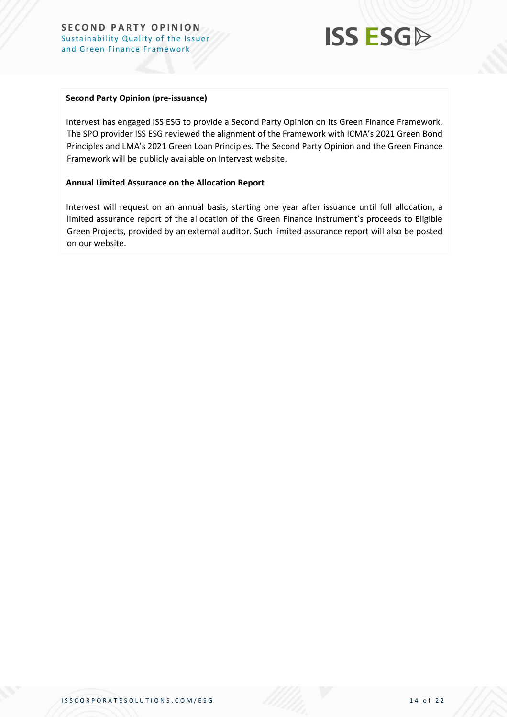

#### **Second Party Opinion (pre-issuance)**

Intervest has engaged ISS ESG to provide a Second Party Opinion on its Green Finance Framework. The SPO provider ISS ESG reviewed the alignment of the Framework with ICMA's 2021 Green Bond Principles and LMA's 2021 Green Loan Principles. The Second Party Opinion and the Green Finance Framework will be publicly available on Intervest website.

#### **Annual Limited Assurance on the Allocation Report**

Intervest will request on an annual basis, starting one year after issuance until full allocation, a limited assurance report of the allocation of the Green Finance instrument's proceeds to Eligible Green Projects, provided by an external auditor. Such limited assurance report will also be posted on our website.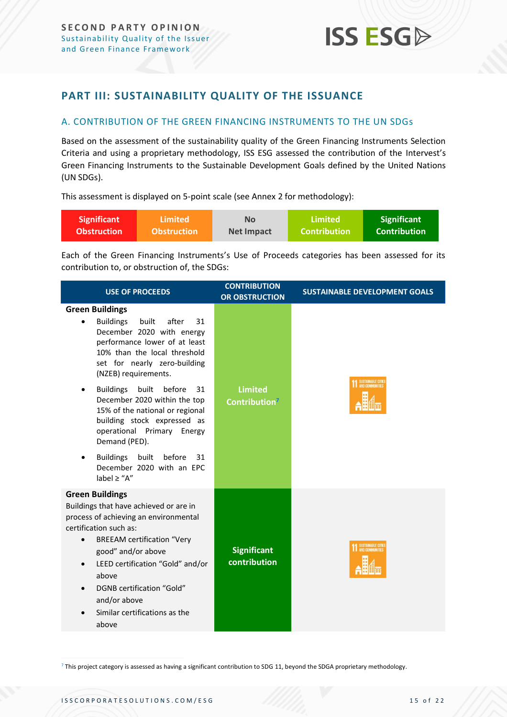### <span id="page-14-0"></span>**PART III: SUSTAINABILITY QUALITY OF THE ISSUANCE**

#### <span id="page-14-1"></span>A. CONTRIBUTION OF THE GREEN FINANCING INSTRUMENTS TO THE UN SDGs

Based on the assessment of the sustainability quality of the Green Financing Instruments Selection Criteria and using a proprietary methodology, ISS ESG assessed the contribution of the Intervest's Green Financing Instruments to the Sustainable Development Goals defined by the United Nations (UN SDGs).

This assessment is displayed on 5-point scale (see Annex 2 for methodology):

| <b>Significant</b> | Limited            | <b>No</b>         | Limited        | <b>Significant</b> |
|--------------------|--------------------|-------------------|----------------|--------------------|
| <b>Obstruction</b> | <b>Obstruction</b> | <b>Net Impact</b> | ا Contribution | Contribution'      |

Each of the Green Financing Instruments's Use of Proceeds categories has been assessed for its contribution to, or obstruction of, the SDGs:

| <b>USE OF PROCEEDS</b>                                                                                                                                                                                                                                                                                                                                                                                                                                                                                                     | <b>CONTRIBUTION</b><br><b>OR OBSTRUCTION</b> | <b>SUSTAINABLE DEVELOPMENT GOALS</b> |  |
|----------------------------------------------------------------------------------------------------------------------------------------------------------------------------------------------------------------------------------------------------------------------------------------------------------------------------------------------------------------------------------------------------------------------------------------------------------------------------------------------------------------------------|----------------------------------------------|--------------------------------------|--|
| <b>Green Buildings</b><br><b>Buildings</b><br>built<br>after<br>31<br>$\bullet$<br>December 2020 with energy<br>performance lower of at least<br>10% than the local threshold<br>set for nearly zero-building<br>(NZEB) requirements.<br><b>Buildings</b><br>built before<br>31<br>December 2020 within the top<br>15% of the national or regional<br>building stock expressed as<br>operational Primary Energy<br>Demand (PED).<br><b>Buildings</b><br>built before<br>31<br>December 2020 with an EPC<br>label $\ge$ "A" | <b>Limited</b><br>Contribution <sup>7</sup>  | SUSTAINABLE CITIES                   |  |
| <b>Green Buildings</b><br>Buildings that have achieved or are in<br>process of achieving an environmental<br>certification such as:<br><b>BREEAM certification "Very</b><br>$\bullet$<br>good" and/or above<br>LEED certification "Gold" and/or<br>above<br>DGNB certification "Gold"<br>and/or above<br>Similar certifications as the<br>above                                                                                                                                                                            | <b>Significant</b><br>contribution           | <b>1</b> SUSTAINABLE CITIES          |  |

<sup>7</sup> This project category is assessed as having a significant contribution to SDG 11, beyond the SDGA proprietary methodology.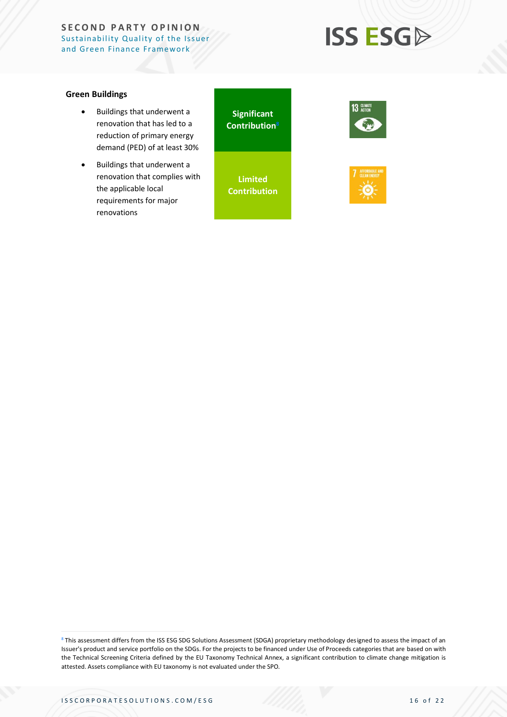## **ISS ESGA**

#### **Green Buildings**

- Buildings that underwent a renovation that has led to a reduction of primary energy demand (PED) of at least 30%
- Buildings that underwent a renovation that complies with the applicable local requirements for major renovations

**Significant Contribution<sup>8</sup>**

**Limited Contribution**





<sup>8</sup> This assessment differs from the ISS ESG SDG Solutions Assessment (SDGA) proprietary methodology designed to assess the impact of an Issuer's product and service portfolio on the SDGs. For the projects to be financed under Use of Proceeds categories that are based on with the Technical Screening Criteria defined by the EU Taxonomy Technical Annex, a significant contribution to climate change mitigation is attested. Assets compliance with EU taxonomy is not evaluated under the SPO.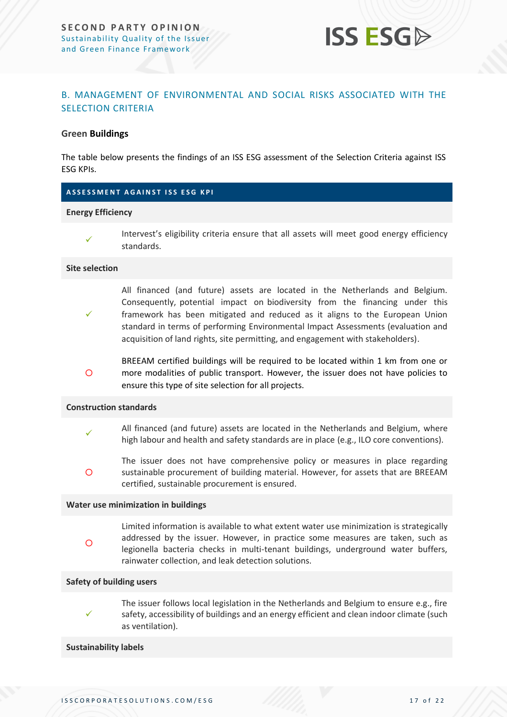

#### <span id="page-16-0"></span>B. MANAGEMENT OF ENVIRONMENTAL AND SOCIAL RISKS ASSOCIATED WITH THE SELECTION CRITERIA

#### **Green Buildings**

The table below presents the findings of an ISS ESG assessment of the Selection Criteria against ISS ESG KPIs.

#### **A S S E S S M E N T A G A I N S T I S S E S G K P I**

#### **Energy Efficiency**

✓

Intervest's eligibility criteria ensure that all assets will meet good energy efficiency standards.

#### **Site selection**

- ✓ All financed (and future) assets are located in the Netherlands and Belgium. Consequently, potential impact on biodiversity from the financing under this framework has been mitigated and reduced as it aligns to the European Union standard in terms of performing Environmental Impact Assessments (evaluation and acquisition of land rights, site permitting, and engagement with stakeholders).
- $\circ$ BREEAM certified buildings will be required to be located within 1 km from one or more modalities of public transport. However, the issuer does not have policies to ensure this type of site selection for all projects.

#### **Construction standards**

- ✓ All financed (and future) assets are located in the Netherlands and Belgium, where high labour and health and safety standards are in place (e.g., ILO core conventions).
- $\Omega$ The issuer does not have comprehensive policy or measures in place regarding sustainable procurement of building material. However, for assets that are BREEAM certified, sustainable procurement is ensured.

#### **Water use minimization in buildings**

Limited information is available to what extent water use minimization is strategically addressed by the issuer. However, in practice some measures are taken, such as legionella bacteria checks in multi-tenant buildings, underground water buffers, rainwater collection, and leak detection solutions.

#### **Safety of building users**

 $\circ$ 

✓

The issuer follows local legislation in the Netherlands and Belgium to ensure e.g., fire safety, accessibility of buildings and an energy efficient and clean indoor climate (such as ventilation).

#### **Sustainability labels**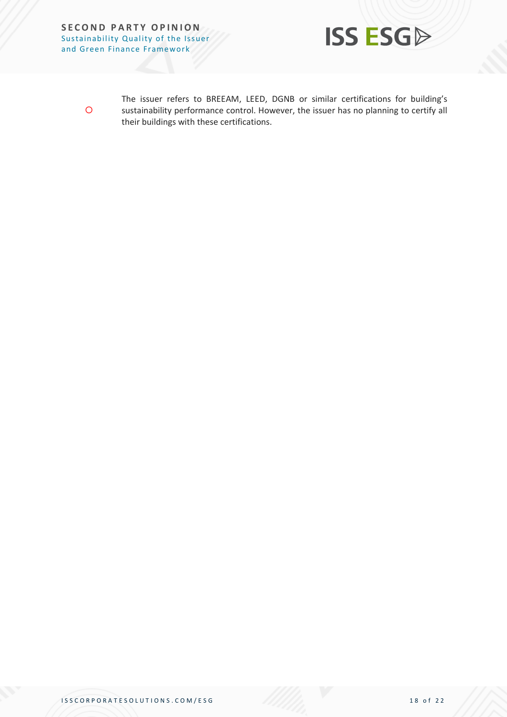

 $\circ$ 

The issuer refers to BREEAM, LEED, DGNB or similar certifications for building's sustainability performance control. However, the issuer has no planning to certify all their buildings with these certifications.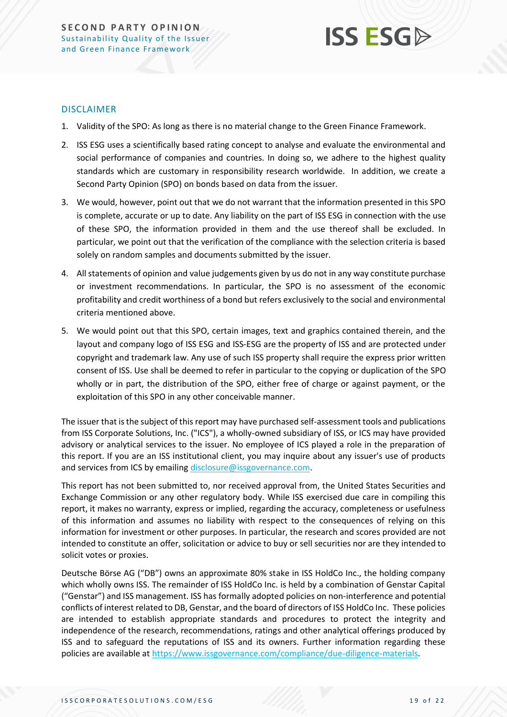## **ISS ESG**

#### DISCLAIMER

- 1. Validity of the SPO: As long as there is no material change to the Green Finance Framework.
- 2. ISS ESG uses a scientifically based rating concept to analyse and evaluate the environmental and social performance of companies and countries. In doing so, we adhere to the highest quality standards which are customary in responsibility research worldwide. In addition, we create a Second Party Opinion (SPO) on bonds based on data from the issuer.
- 3. We would, however, point out that we do not warrant that the information presented in this SPO is complete, accurate or up to date. Any liability on the part of ISS ESG in connection with the use of these SPO, the information provided in them and the use thereof shall be excluded. In particular, we point out that the verification of the compliance with the selection criteria is based solely on random samples and documents submitted by the issuer.
- 4. All statements of opinion and value judgements given by us do not in any way constitute purchase or investment recommendations. In particular, the SPO is no assessment of the economic profitability and credit worthiness of a bond but refers exclusively to the social and environmental criteria mentioned above.
- 5. We would point out that this SPO, certain images, text and graphics contained therein, and the layout and company logo of ISS ESG and ISS-ESG are the property of ISS and are protected under copyright and trademark law. Any use of such ISS property shall require the express prior written consent of ISS. Use shall be deemed to refer in particular to the copying or duplication of the SPO wholly or in part, the distribution of the SPO, either free of charge or against payment, or the exploitation of this SPO in any other conceivable manner.

The issuer that is the subject of this report may have purchased self-assessment tools and publications from ISS Corporate Solutions, Inc. ("ICS"), a wholly-owned subsidiary of ISS, or ICS may have provided advisory or analytical services to the issuer. No employee of ICS played a role in the preparation of this report. If you are an ISS institutional client, you may inquire about any issuer's use of products and services from ICS by emailing [disclosure@issgovernance.com.](mailto:disclosure@issgovernance.com)

This report has not been submitted to, nor received approval from, the United States Securities and Exchange Commission or any other regulatory body. While ISS exercised due care in compiling this report, it makes no warranty, express or implied, regarding the accuracy, completeness or usefulness of this information and assumes no liability with respect to the consequences of relying on this information for investment or other purposes. In particular, the research and scores provided are not intended to constitute an offer, solicitation or advice to buy or sell securities nor are they intended to solicit votes or proxies.

Deutsche Börse AG ("DB") owns an approximate 80% stake in ISS HoldCo Inc., the holding company which wholly owns ISS. The remainder of ISS HoldCo Inc. is held by a combination of Genstar Capital ("Genstar") and ISS management. ISS has formally adopted policies on non-interference and potential conflicts of interest related to DB, Genstar, and the board of directors of ISS HoldCo Inc. These policies are intended to establish appropriate standards and procedures to protect the integrity and independence of the research, recommendations, ratings and other analytical offerings produced by ISS and to safeguard the reputations of ISS and its owners. Further information regarding these policies are available at [https://www.issgovernance.com/compliance/due-diligence-materials.](https://www.issgovernance.com/compliance/due-diligence-materials)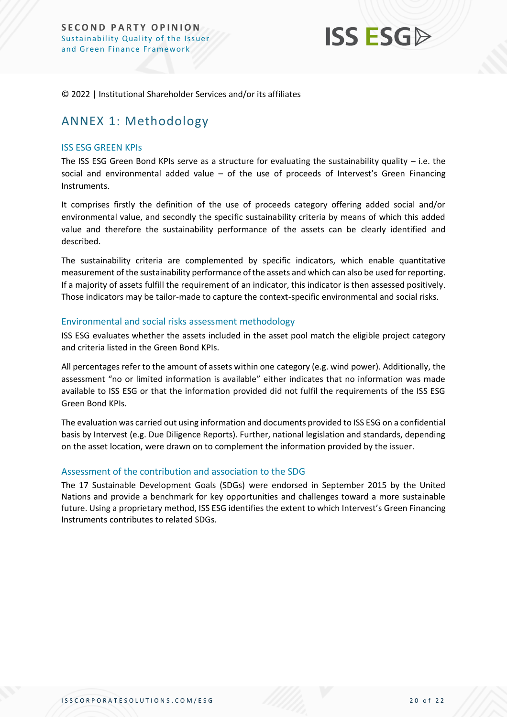

© 2022 | Institutional Shareholder Services and/or its affiliates

## <span id="page-19-0"></span>ANNEX 1: Methodology

#### ISS ESG GREEN KPIs

The ISS ESG Green Bond KPIs serve as a structure for evaluating the sustainability quality – i.e. the social and environmental added value – of the use of proceeds of Intervest's Green Financing Instruments.

It comprises firstly the definition of the use of proceeds category offering added social and/or environmental value, and secondly the specific sustainability criteria by means of which this added value and therefore the sustainability performance of the assets can be clearly identified and described.

The sustainability criteria are complemented by specific indicators, which enable quantitative measurement of the sustainability performance of the assets and which can also be used for reporting. If a majority of assets fulfill the requirement of an indicator, this indicator is then assessed positively. Those indicators may be tailor-made to capture the context-specific environmental and social risks.

#### Environmental and social risks assessment methodology

ISS ESG evaluates whether the assets included in the asset pool match the eligible project category and criteria listed in the Green Bond KPIs.

All percentages refer to the amount of assets within one category (e.g. wind power). Additionally, the assessment "no or limited information is available" either indicates that no information was made available to ISS ESG or that the information provided did not fulfil the requirements of the ISS ESG Green Bond KPIs.

The evaluation was carried out using information and documents provided to ISS ESG on a confidential basis by Intervest (e.g. Due Diligence Reports). Further, national legislation and standards, depending on the asset location, were drawn on to complement the information provided by the issuer.

#### Assessment of the contribution and association to the SDG

The 17 Sustainable Development Goals (SDGs) were endorsed in September 2015 by the United Nations and provide a benchmark for key opportunities and challenges toward a more sustainable future. Using a proprietary method, ISS ESG identifies the extent to which Intervest's Green Financing Instruments contributes to related SDGs.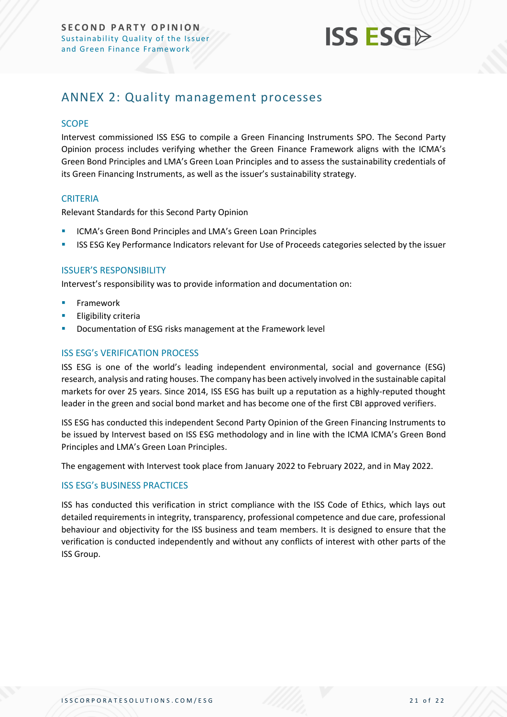

## <span id="page-20-0"></span>ANNEX 2: Quality management processes

#### **SCOPE**

Intervest commissioned ISS ESG to compile a Green Financing Instruments SPO. The Second Party Opinion process includes verifying whether the Green Finance Framework aligns with the ICMA's Green Bond Principles and LMA's Green Loan Principles and to assess the sustainability credentials of its Green Financing Instruments, as well as the issuer's sustainability strategy.

#### **CRITERIA**

Relevant Standards for this Second Party Opinion

- ICMA's Green Bond Principles and LMA's Green Loan Principles
- **ISS ESG Key Performance Indicators relevant for Use of Proceeds categories selected by the issuer**

#### ISSUER'S RESPONSIBILITY

Intervest's responsibility was to provide information and documentation on:

- **Framework**
- **Eligibility criteria**
- Documentation of ESG risks management at the Framework level

#### ISS ESG's VERIFICATION PROCESS

ISS ESG is one of the world's leading independent environmental, social and governance (ESG) research, analysis and rating houses. The company has been actively involved in the sustainable capital markets for over 25 years. Since 2014, ISS ESG has built up a reputation as a highly-reputed thought leader in the green and social bond market and has become one of the first CBI approved verifiers.

ISS ESG has conducted this independent Second Party Opinion of the Green Financing Instruments to be issued by Intervest based on ISS ESG methodology and in line with the ICMA ICMA's Green Bond Principles and LMA's Green Loan Principles.

The engagement with Intervest took place from January 2022 to February 2022, and in May 2022.

#### ISS ESG's BUSINESS PRACTICES

ISS has conducted this verification in strict compliance with the ISS Code of Ethics, which lays out detailed requirements in integrity, transparency, professional competence and due care, professional behaviour and objectivity for the ISS business and team members. It is designed to ensure that the verification is conducted independently and without any conflicts of interest with other parts of the ISS Group.